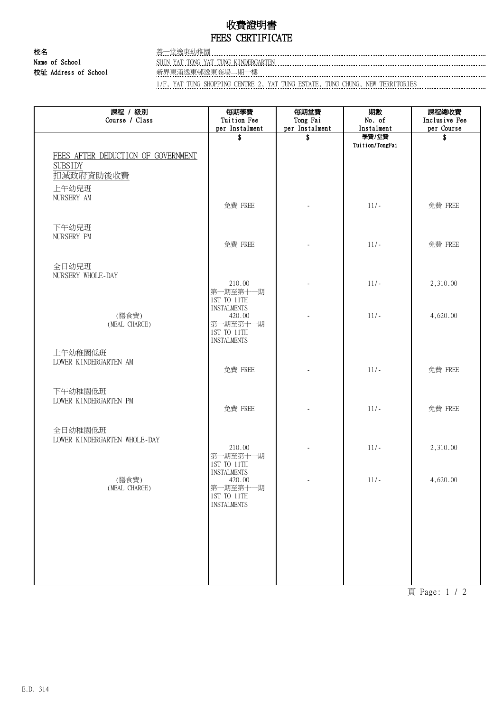## 收費證明書 FEES CERTIFICATE

校名 またい こうしょう きょうきょう きょうかん きょうかん きょうかん きょうかん きょうかん きょうかん きょうかん きょうかん きょうかん きょうかん こうしゃ きょうかん こうしょう 校址 Address of School 新界東涌逸東邨逸東商場二期一樓

Name of School SHIN YAT TONG YAT TUNG KINDERGARTEN

1/F, YAT TUNG SHOPPING CENTRE 2, YAT TUNG ESTATE, TUNG CHUNG, NEW TERRITORIES

| 課程 / 級別<br>Course / Class                                                  | 每期學費<br>Tuition Fee                                                                          | 每期堂費<br>Tong Fai     | 期數<br>No. of        | 課程總收費<br>Inclusive Fee |
|----------------------------------------------------------------------------|----------------------------------------------------------------------------------------------|----------------------|---------------------|------------------------|
|                                                                            | per Instalment<br>\$                                                                         | per Instalment<br>\$ | Instalment<br>學費/堂費 | per Course<br>\$       |
| FEES AFTER DEDUCTION OF GOVERNMENT<br><b>SUBSIDY</b><br>扣減政府資助後收費<br>上午幼兒班 |                                                                                              |                      | Tuition/TongFai     |                        |
| NURSERY AM                                                                 | 免費 FREE                                                                                      |                      | $11/-$              | 免費 FREE                |
| 下午幼兒班<br>NURSERY PM                                                        | 免費 FREE                                                                                      |                      | $11/-$              | 免費 FREE                |
| 全日幼兒班<br>NURSERY WHOLE-DAY                                                 | 210.00<br>第一期至第十一期                                                                           |                      | $11/-$              | 2,310.00               |
| (膳食費)<br>(MEAL CHARGE)                                                     | 1ST TO 11TH<br><b>INSTALMENTS</b><br>420.00<br>第一期至第十一期<br>1ST TO 11TH<br><b>INSTALMENTS</b> |                      | $11/-$              | 4,620.00               |
| 上午幼稚園低班<br>LOWER KINDERGARTEN AM                                           | 免費 FREE                                                                                      |                      | $11/-$              | 免費 FREE                |
| 下午幼稚園低班<br>LOWER KINDERGARTEN PM                                           | 免費 FREE                                                                                      |                      | $11/-$              | 免費 FREE                |
| 全日幼稚園低班<br>LOWER KINDERGARTEN WHOLE-DAY                                    | 210.00<br>第一期至第十一期<br>1ST TO 11TH                                                            |                      | $11/-$              | 2,310.00               |
| (膳食費)<br>(MEAL CHARGE)                                                     | <b>INSTALMENTS</b><br>420.00<br>第一期至第十一期<br>1ST TO 11TH<br><b>INSTALMENTS</b>                |                      | $11/-$              | 4,620.00               |
|                                                                            |                                                                                              |                      |                     |                        |
|                                                                            |                                                                                              |                      |                     |                        |

頁 Page: 1 / 2